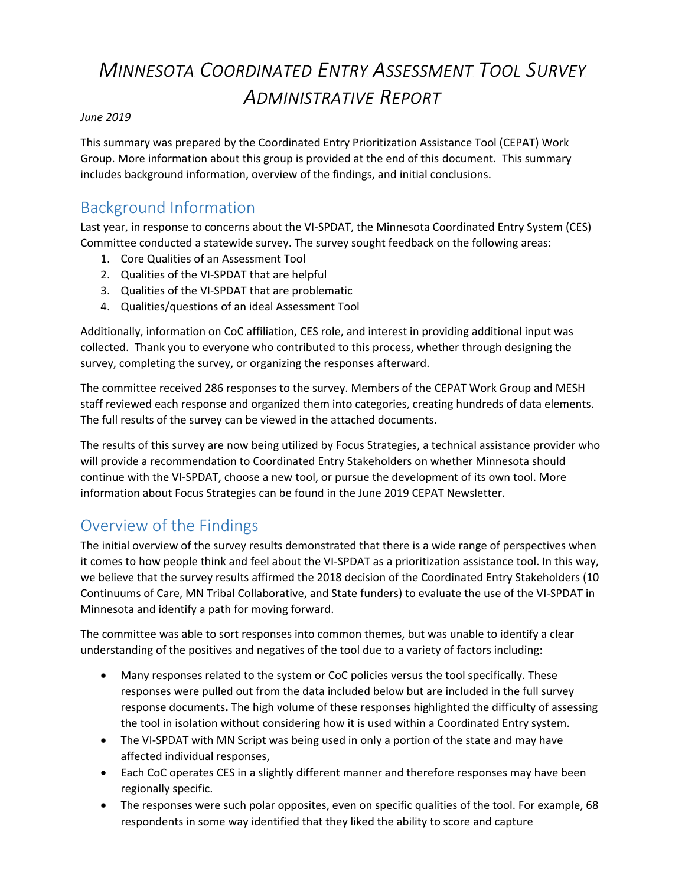# *MINNESOTA COORDINATED ENTRY ASSESSMENT TOOL SURVEY ADMINISTRATIVE REPORT*

#### *June 2019*

This summary was prepared by the Coordinated Entry Prioritization Assistance Tool (CEPAT) Work Group. More information about this group is provided at the end of this document. This summary includes background information, overview of the findings, and initial conclusions.

## Background Information

Last year, in response to concerns about the VI-SPDAT, the Minnesota Coordinated Entry System (CES) Committee conducted a statewide survey. The survey sought feedback on the following areas:

- 1. Core Qualities of an Assessment Tool
- 2. Qualities of the VI-SPDAT that are helpful
- 3. Qualities of the VI-SPDAT that are problematic
- 4. Qualities/questions of an ideal Assessment Tool

Additionally, information on CoC affiliation, CES role, and interest in providing additional input was collected. Thank you to everyone who contributed to this process, whether through designing the survey, completing the survey, or organizing the responses afterward.

The committee received 286 responses to the survey. Members of the CEPAT Work Group and MESH staff reviewed each response and organized them into categories, creating hundreds of data elements. The full results of the survey can be viewed in the attached documents.

The results of this survey are now being utilized by Focus Strategies, a technical assistance provider who will provide a recommendation to Coordinated Entry Stakeholders on whether Minnesota should continue with the VI-SPDAT, choose a new tool, or pursue the development of its own tool. More information about Focus Strategies can be found in the June 2019 CEPAT Newsletter.

## Overview of the Findings

The initial overview of the survey results demonstrated that there is a wide range of perspectives when it comes to how people think and feel about the VI-SPDAT as a prioritization assistance tool. In this way, we believe that the survey results affirmed the 2018 decision of the Coordinated Entry Stakeholders (10 Continuums of Care, MN Tribal Collaborative, and State funders) to evaluate the use of the VI-SPDAT in Minnesota and identify a path for moving forward.

The committee was able to sort responses into common themes, but was unable to identify a clear understanding of the positives and negatives of the tool due to a variety of factors including:

- Many responses related to the system or CoC policies versus the tool specifically. These responses were pulled out from the data included below but are included in the full survey response documents**.** The high volume of these responses highlighted the difficulty of assessing the tool in isolation without considering how it is used within a Coordinated Entry system.
- The VI-SPDAT with MN Script was being used in only a portion of the state and may have affected individual responses,
- Each CoC operates CES in a slightly different manner and therefore responses may have been regionally specific.
- The responses were such polar opposites, even on specific qualities of the tool. For example, 68 respondents in some way identified that they liked the ability to score and capture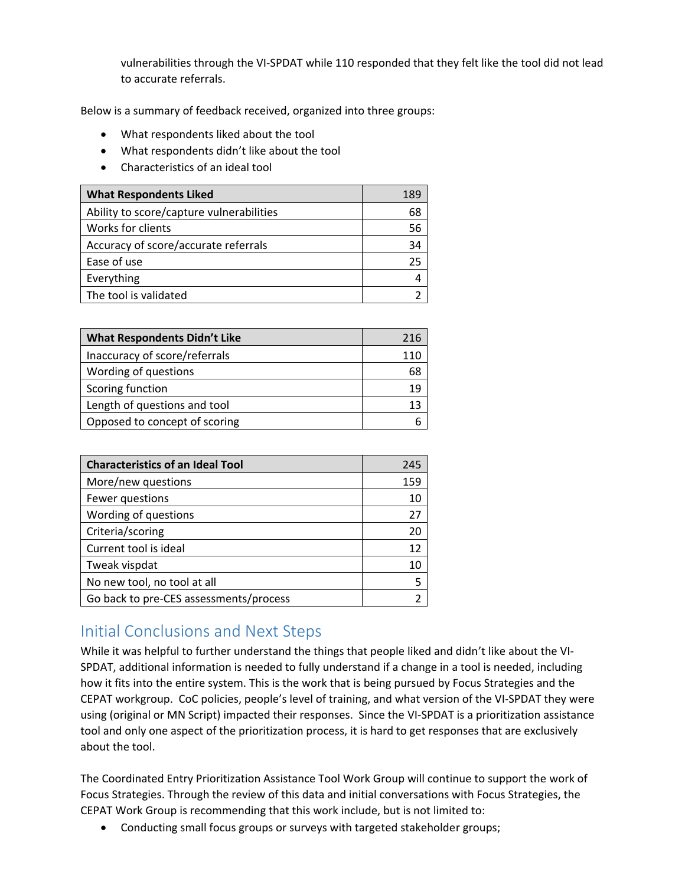vulnerabilities through the VI-SPDAT while 110 responded that they felt like the tool did not lead to accurate referrals.

Below is a summary of feedback received, organized into three groups:

- What respondents liked about the tool
- What respondents didn't like about the tool
- Characteristics of an ideal tool

| <b>What Respondents Liked</b>            | 189 |
|------------------------------------------|-----|
| Ability to score/capture vulnerabilities | 68  |
| Works for clients                        | 56  |
| Accuracy of score/accurate referrals     | 34  |
| Ease of use                              | 25  |
| Everything                               |     |
| The tool is validated                    |     |

| <b>What Respondents Didn't Like</b> | 216 |
|-------------------------------------|-----|
| Inaccuracy of score/referrals       | 110 |
| Wording of questions                | 68  |
| Scoring function                    | 19  |
| Length of questions and tool        | 13  |
| Opposed to concept of scoring       |     |

| <b>Characteristics of an Ideal Tool</b> | 245            |
|-----------------------------------------|----------------|
| More/new questions                      | 159            |
| Fewer questions                         | 10             |
| Wording of questions                    | 27             |
| Criteria/scoring                        | 20             |
| Current tool is ideal                   | 12             |
| Tweak vispdat                           | 10             |
| No new tool, no tool at all             | 5              |
| Go back to pre-CES assessments/process  | $\mathfrak{p}$ |

## Initial Conclusions and Next Steps

While it was helpful to further understand the things that people liked and didn't like about the VI-SPDAT, additional information is needed to fully understand if a change in a tool is needed, including how it fits into the entire system. This is the work that is being pursued by Focus Strategies and the CEPAT workgroup. CoC policies, people's level of training, and what version of the VI-SPDAT they were using (original or MN Script) impacted their responses. Since the VI-SPDAT is a prioritization assistance tool and only one aspect of the prioritization process, it is hard to get responses that are exclusively about the tool.

The Coordinated Entry Prioritization Assistance Tool Work Group will continue to support the work of Focus Strategies. Through the review of this data and initial conversations with Focus Strategies, the CEPAT Work Group is recommending that this work include, but is not limited to:

Conducting small focus groups or surveys with targeted stakeholder groups;